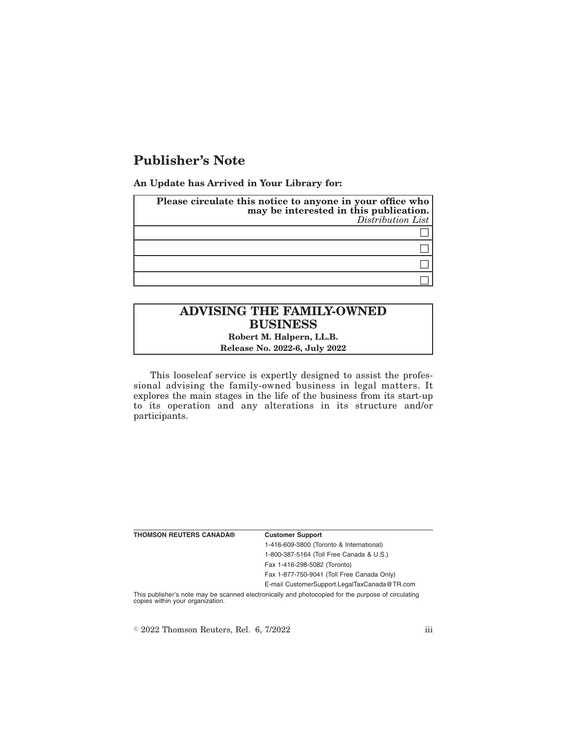## **Publisher's Note**

**An Update has Arrived in Your Library for:**

| Please circulate this notice to anyone in your office who<br>may be interested in this publication.<br>Distribution List |
|--------------------------------------------------------------------------------------------------------------------------|
|                                                                                                                          |
|                                                                                                                          |
|                                                                                                                          |
|                                                                                                                          |

# **ADVISING THE FAMILY-OWNED BUSINESS**

**Robert M. Halpern, LL.B. Release No. 2022-6, July 2022**

This looseleaf service is expertly designed to assist the professional advising the family-owned business in legal matters. It explores the main stages in the life of the business from its start-up to its operation and any alterations in its structure and/or participants.

| <b>THOMSON REUTERS CANADA®</b>                                                                     | <b>Customer Support</b>                      |
|----------------------------------------------------------------------------------------------------|----------------------------------------------|
|                                                                                                    | 1-416-609-3800 (Toronto & International)     |
|                                                                                                    | 1-800-387-5164 (Toll Free Canada & U.S.)     |
|                                                                                                    | Fax 1-416-298-5082 (Toronto)                 |
|                                                                                                    | Fax 1-877-750-9041 (Toll Free Canada Only)   |
|                                                                                                    | E-mail CustomerSupport.LegalTaxCanada@TR.com |
| This publisher's note may be scanned electronically and photocopied for the purpose of circulating |                                              |

copies within your organization.

 $\textdegree$  2022 Thomson Reuters, Rel. 6, 7/2022 iii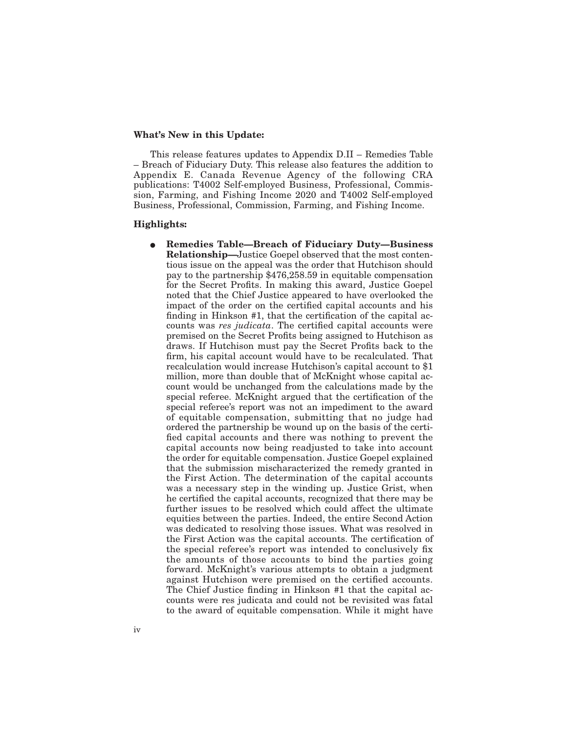#### **What's New in this Update:**

This release features updates to Appendix D.II – Remedies Table – Breach of Fiduciary Duty. This release also features the addition to Appendix E. Canada Revenue Agency of the following CRA publications: T4002 Self-employed Business, Professional, Commission, Farming, and Fishing Income 2020 and T4002 Self-employed Business, Professional, Commission, Farming, and Fishing Income.

#### **Highlights:**

E **Remedies Table—Breach of Fiduciary Duty—Business Relationship—**Justice Goepel observed that the most contentious issue on the appeal was the order that Hutchison should pay to the partnership \$476,258.59 in equitable compensation for the Secret Profits. In making this award, Justice Goepel noted that the Chief Justice appeared to have overlooked the impact of the order on the certified capital accounts and his finding in Hinkson #1, that the certification of the capital accounts was *res judicata*. The certified capital accounts were premised on the Secret Profits being assigned to Hutchison as draws. If Hutchison must pay the Secret Profits back to the firm, his capital account would have to be recalculated. That recalculation would increase Hutchison's capital account to \$1 million, more than double that of McKnight whose capital account would be unchanged from the calculations made by the special referee. McKnight argued that the certification of the special referee's report was not an impediment to the award of equitable compensation, submitting that no judge had ordered the partnership be wound up on the basis of the certified capital accounts and there was nothing to prevent the capital accounts now being readjusted to take into account the order for equitable compensation. Justice Goepel explained that the submission mischaracterized the remedy granted in the First Action. The determination of the capital accounts was a necessary step in the winding up. Justice Grist, when he certified the capital accounts, recognized that there may be further issues to be resolved which could affect the ultimate equities between the parties. Indeed, the entire Second Action was dedicated to resolving those issues. What was resolved in the First Action was the capital accounts. The certification of the special referee's report was intended to conclusively fix the amounts of those accounts to bind the parties going forward. McKnight's various attempts to obtain a judgment against Hutchison were premised on the certified accounts. The Chief Justice finding in Hinkson #1 that the capital accounts were res judicata and could not be revisited was fatal to the award of equitable compensation. While it might have